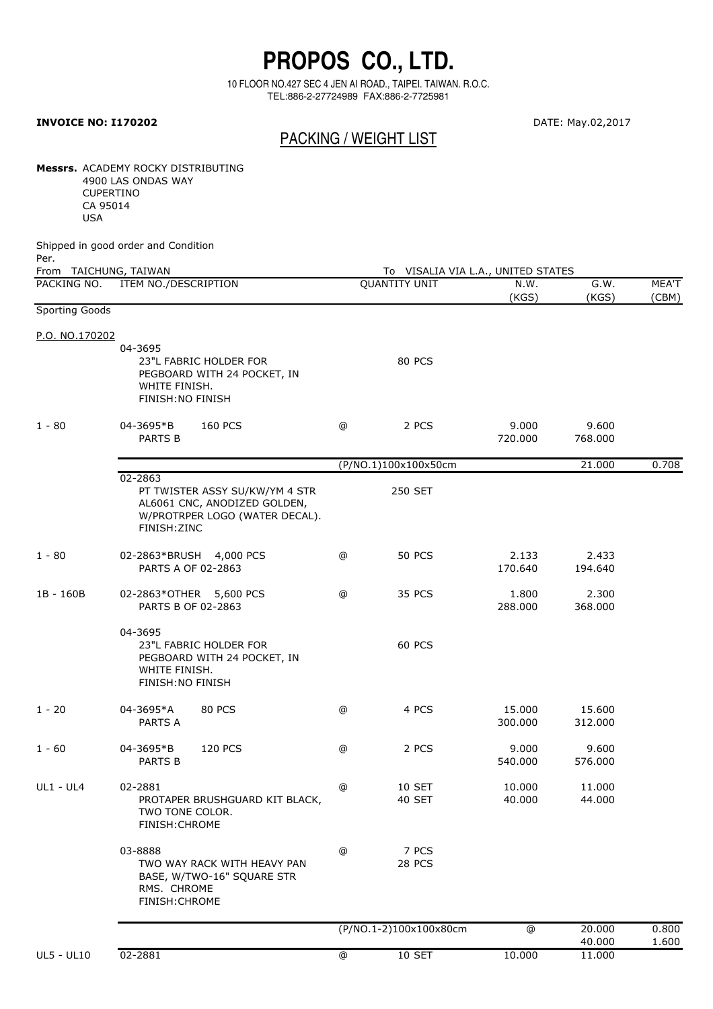## **PROPOS CO., LTD.**

10 FLOOR NO.427 SEC 4 JEN AI ROAD., TAIPEI. TAIWAN. R.O.C. TEL:886-2-27724989 FAX:886-2-7725981

## **INVOICE NO: I170202** DATE: May.02,2017

## PACKING / WEIGHT LIST

**Messrs.** ACADEMY ROCKY DISTRIBUTING 4900 LAS ONDAS WAY CUPERTINO

CA 95014 USA

Shipped in good order and Condition

| Per.<br>From TAICHUNG, TAIWAN |                                                                                                                             |                      | To VISALIA VIA L.A., UNITED STATES |                   |                   |                |  |  |
|-------------------------------|-----------------------------------------------------------------------------------------------------------------------------|----------------------|------------------------------------|-------------------|-------------------|----------------|--|--|
| PACKING NO.                   | ITEM NO./DESCRIPTION                                                                                                        | <b>QUANTITY UNIT</b> |                                    | N.W.<br>(KGS)     | G.W.<br>(KGS)     | MEA'T<br>(CBM) |  |  |
| <b>Sporting Goods</b>         |                                                                                                                             |                      |                                    |                   |                   |                |  |  |
| P.O. NO.170202                |                                                                                                                             |                      |                                    |                   |                   |                |  |  |
|                               | 04-3695<br>23"L FABRIC HOLDER FOR<br>PEGBOARD WITH 24 POCKET, IN<br>WHITE FINISH.<br>FINISH: NO FINISH                      |                      | 80 PCS                             |                   |                   |                |  |  |
| $1 - 80$                      | 04-3695*B<br><b>160 PCS</b><br>PARTS B                                                                                      | ⋒                    | 2 PCS                              | 9.000<br>720.000  | 9.600<br>768.000  |                |  |  |
|                               |                                                                                                                             |                      | (P/NO.1)100x100x50cm               |                   | 21.000            | 0.708          |  |  |
|                               | 02-2863<br>PT TWISTER ASSY SU/KW/YM 4 STR<br>AL6061 CNC, ANODIZED GOLDEN,<br>W/PROTRPER LOGO (WATER DECAL).<br>FINISH: ZINC |                      | 250 SET                            |                   |                   |                |  |  |
| $1 - 80$                      | 02-2863*BRUSH 4,000 PCS<br>PARTS A OF 02-2863                                                                               | $^\circledR$         | <b>50 PCS</b>                      | 2.133<br>170.640  | 2.433<br>194.640  |                |  |  |
| 1B - 160B                     | 02-2863*OTHER 5,600 PCS<br>PARTS B OF 02-2863                                                                               | ⋒                    | 35 PCS                             | 1.800<br>288.000  | 2.300<br>368.000  |                |  |  |
|                               | 04-3695<br>23"L FABRIC HOLDER FOR<br>PEGBOARD WITH 24 POCKET, IN<br>WHITE FINISH.<br>FINISH: NO FINISH                      |                      | <b>60 PCS</b>                      |                   |                   |                |  |  |
| $1 - 20$                      | 04-3695*A<br><b>80 PCS</b><br>PARTS A                                                                                       | @                    | 4 PCS                              | 15.000<br>300.000 | 15.600<br>312.000 |                |  |  |
| $1 - 60$                      | 04-3695*B<br><b>120 PCS</b><br>PARTS B                                                                                      | @                    | 2 PCS                              | 9.000<br>540.000  | 9.600<br>576.000  |                |  |  |
| <b>UL1 - UL4</b>              | 02-2881<br>PROTAPER BRUSHGUARD KIT BLACK,<br>TWO TONE COLOR.<br>FINISH: CHROME                                              | @                    | 10 SET<br>40 SET                   | 10.000<br>40.000  | 11.000<br>44.000  |                |  |  |
|                               | 03-8888<br>TWO WAY RACK WITH HEAVY PAN<br>BASE, W/TWO-16" SQUARE STR<br>RMS. CHROME<br>FINISH: CHROME                       | @                    | 7 PCS<br>28 PCS                    |                   |                   |                |  |  |
|                               |                                                                                                                             |                      | (P/NO.1-2)100x100x80cm             | @                 | 20.000<br>40.000  | 0.800<br>1.600 |  |  |

UL5 - UL10 02-2881 @ SET 10 10.000 11.000